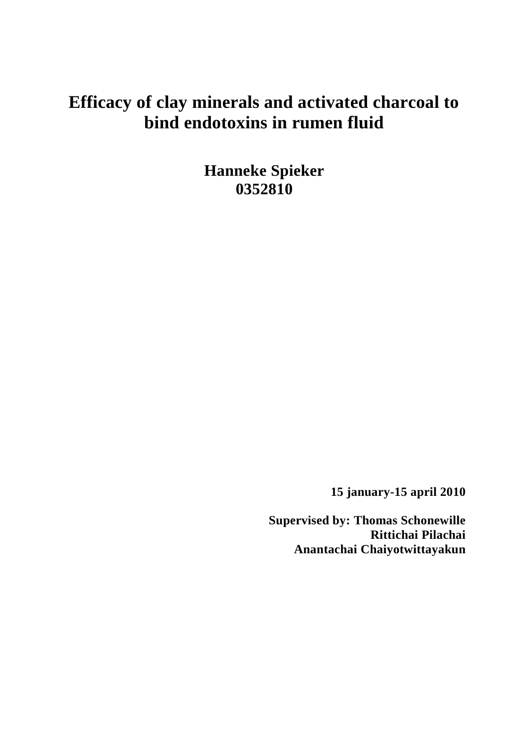# **Efficacy of clay minerals and activated charcoal to bind endotoxins in rumen fluid**

**Hanneke Spieker 0352810**

**15 january-15 april 2010**

**Supervised by: Thomas Schonewille Rittichai Pilachai Anantachai Chaiyotwittayakun**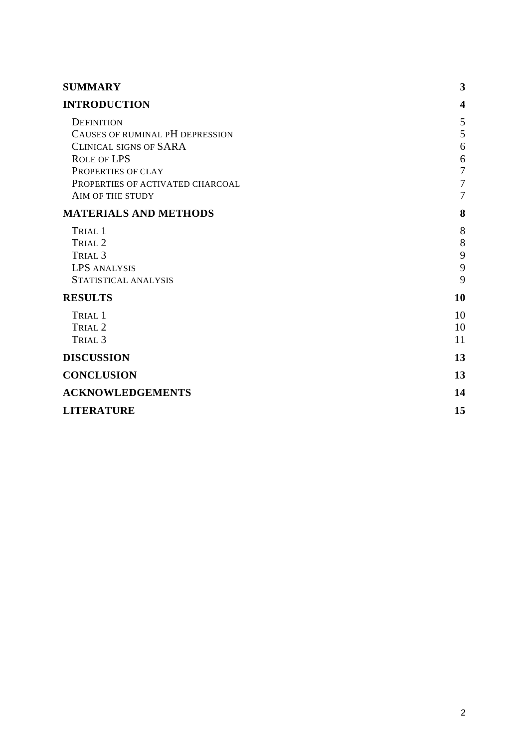| <b>SUMMARY</b>                                                                                                                                                                            | 3                                                                      |
|-------------------------------------------------------------------------------------------------------------------------------------------------------------------------------------------|------------------------------------------------------------------------|
| <b>INTRODUCTION</b>                                                                                                                                                                       | $\overline{\mathbf{4}}$                                                |
| <b>DEFINITION</b><br>CAUSES OF RUMINAL PH DEPRESSION<br><b>CLINICAL SIGNS OF SARA</b><br><b>ROLE OF LPS</b><br>PROPERTIES OF CLAY<br>PROPERTIES OF ACTIVATED CHARCOAL<br>AIM OF THE STUDY | 5<br>5<br>6<br>6<br>$\overline{7}$<br>$\overline{7}$<br>$\overline{7}$ |
| <b>MATERIALS AND METHODS</b>                                                                                                                                                              | 8                                                                      |
| TRIAL 1<br>TRIAL <sub>2</sub><br>TRIAL <sub>3</sub><br><b>LPS ANALYSIS</b><br>STATISTICAL ANALYSIS                                                                                        | 8<br>8<br>9<br>9<br>9                                                  |
| <b>RESULTS</b>                                                                                                                                                                            | 10                                                                     |
| TRIAL 1<br>TRIAL <sub>2</sub><br>TRIAL <sub>3</sub>                                                                                                                                       | 10<br>10<br>11                                                         |
| <b>DISCUSSION</b>                                                                                                                                                                         | 13                                                                     |
| <b>CONCLUSION</b>                                                                                                                                                                         | 13                                                                     |
| <b>ACKNOWLEDGEMENTS</b>                                                                                                                                                                   | 14                                                                     |
| <b>LITERATURE</b>                                                                                                                                                                         | 15                                                                     |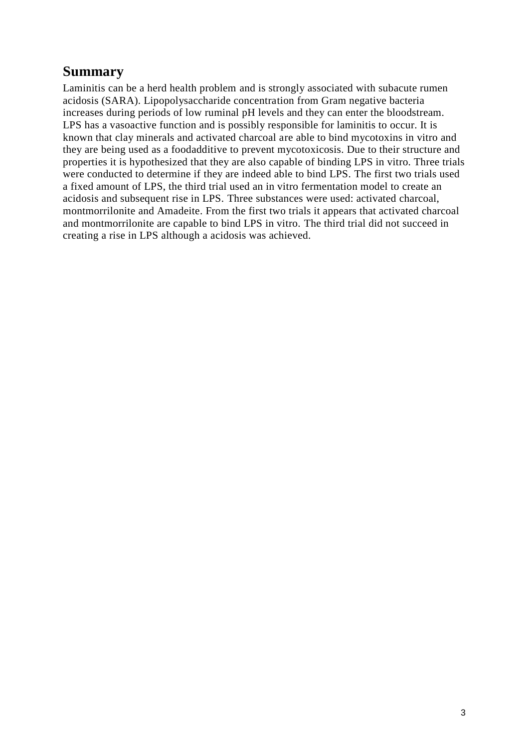### <span id="page-2-0"></span>**Summary**

Laminitis can be a herd health problem and is strongly associated with subacute rumen acidosis (SARA). Lipopolysaccharide concentration from Gram negative bacteria increases during periods of low ruminal pH levels and they can enter the bloodstream. LPS has a vasoactive function and is possibly responsible for laminitis to occur. It is known that clay minerals and activated charcoal are able to bind mycotoxins in vitro and they are being used as a foodadditive to prevent mycotoxicosis. Due to their structure and properties it is hypothesized that they are also capable of binding LPS in vitro. Three trials were conducted to determine if they are indeed able to bind LPS. The first two trials used a fixed amount of LPS, the third trial used an in vitro fermentation model to create an acidosis and subsequent rise in LPS. Three substances were used: activated charcoal, montmorrilonite and Amadeite. From the first two trials it appears that activated charcoal and montmorrilonite are capable to bind LPS in vitro. The third trial did not succeed in creating a rise in LPS although a acidosis was achieved.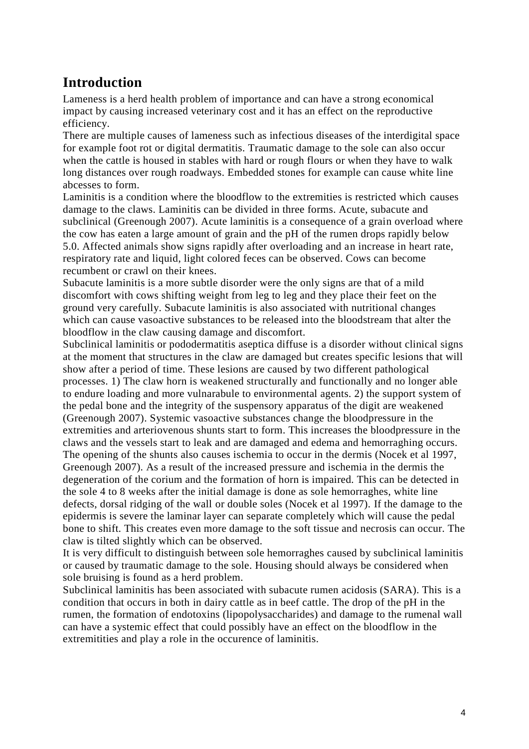### <span id="page-3-0"></span>**Introduction**

Lameness is a herd health problem of importance and can have a strong economical impact by causing increased veterinary cost and it has an effect on the reproductive efficiency.

There are multiple causes of lameness such as infectious diseases of the interdigital space for example foot rot or digital dermatitis. Traumatic damage to the sole can also occur when the cattle is housed in stables with hard or rough flours or when they have to walk long distances over rough roadways. Embedded stones for example can cause white line abcesses to form.

Laminitis is a condition where the bloodflow to the extremities is restricted which causes damage to the claws. Laminitis can be divided in three forms. Acute, subacute and subclinical (Greenough 2007). Acute laminitis is a consequence of a grain overload where the cow has eaten a large amount of grain and the pH of the rumen drops rapidly below 5.0. Affected animals show signs rapidly after overloading and an increase in heart rate, respiratory rate and liquid, light colored feces can be observed. Cows can become recumbent or crawl on their knees.

Subacute laminitis is a more subtle disorder were the only signs are that of a mild discomfort with cows shifting weight from leg to leg and they place their feet on the ground very carefully. Subacute laminitis is also associated with nutritional changes which can cause vasoactive substances to be released into the bloodstream that alter the bloodflow in the claw causing damage and discomfort.

Subclinical laminitis or pododermatitis aseptica diffuse is a disorder without clinical signs at the moment that structures in the claw are damaged but creates specific lesions that will show after a period of time. These lesions are caused by two different pathological processes. 1) The claw horn is weakened structurally and functionally and no longer able to endure loading and more vulnarabule to environmental agents. 2) the support system of the pedal bone and the integrity of the suspensory apparatus of the digit are weakened (Greenough 2007). Systemic vasoactive substances change the bloodpressure in the extremities and arteriovenous shunts start to form. This increases the bloodpressure in the claws and the vessels start to leak and are damaged and edema and hemorraghing occurs. The opening of the shunts also causes ischemia to occur in the dermis (Nocek et al 1997, Greenough 2007). As a result of the increased pressure and ischemia in the dermis the degeneration of the corium and the formation of horn is impaired. This can be detected in the sole 4 to 8 weeks after the initial damage is done as sole hemorraghes, white line defects, dorsal ridging of the wall or double soles (Nocek et al 1997). If the damage to the epidermis is severe the laminar layer can separate completely which will cause the pedal bone to shift. This creates even more damage to the soft tissue and necrosis can occur. The claw is tilted slightly which can be observed.

It is very difficult to distinguish between sole hemorraghes caused by subclinical laminitis or caused by traumatic damage to the sole. Housing should always be considered when sole bruising is found as a herd problem.

Subclinical laminitis has been associated with subacute rumen acidosis (SARA). This is a condition that occurs in both in dairy cattle as in beef cattle. The drop of the pH in the rumen, the formation of endotoxins (lipopolysaccharides) and damage to the rumenal wall can have a systemic effect that could possibly have an effect on the bloodflow in the extremitities and play a role in the occurence of laminitis.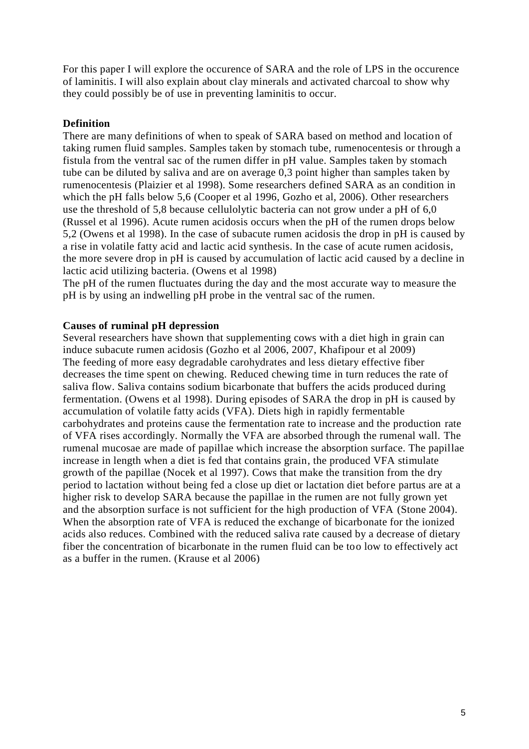For this paper I will explore the occurence of SARA and the role of LPS in the occurence of laminitis. I will also explain about clay minerals and activated charcoal to show why they could possibly be of use in preventing laminitis to occur.

#### <span id="page-4-0"></span>**Definition**

There are many definitions of when to speak of SARA based on method and location of taking rumen fluid samples. Samples taken by stomach tube, rumenocentesis or through a fistula from the ventral sac of the rumen differ in pH value. Samples taken by stomach tube can be diluted by saliva and are on average 0,3 point higher than samples taken by rumenocentesis (Plaizier et al 1998). Some researchers defined SARA as an condition in which the pH falls below 5,6 (Cooper et al 1996, Gozho et al, 2006). Other researchers use the threshold of 5,8 because cellulolytic bacteria can not grow under a pH of 6,0 (Russel et al 1996). Acute rumen acidosis occurs when the pH of the rumen drops below 5,2 (Owens et al 1998). In the case of subacute rumen acidosis the drop in pH is caused by a rise in volatile fatty acid and lactic acid synthesis. In the case of acute rumen acidosis, the more severe drop in pH is caused by accumulation of lactic acid caused by a decline in lactic acid utilizing bacteria. (Owens et al 1998)

The pH of the rumen fluctuates during the day and the most accurate way to measure the pH is by using an indwelling pH probe in the ventral sac of the rumen.

#### <span id="page-4-1"></span>**Causes of ruminal pH depression**

Several researchers have shown that supplementing cows with a diet high in grain can induce subacute rumen acidosis (Gozho et al 2006, 2007, Khafipour et al 2009) The feeding of more easy degradable carohydrates and less dietary effective fiber decreases the time spent on chewing. Reduced chewing time in turn reduces the rate of saliva flow. Saliva contains sodium bicarbonate that buffers the acids produced during fermentation. (Owens et al 1998). During episodes of SARA the drop in pH is caused by accumulation of volatile fatty acids (VFA). Diets high in rapidly fermentable carbohydrates and proteins cause the fermentation rate to increase and the production rate of VFA rises accordingly. Normally the VFA are absorbed through the rumenal wall. The rumenal mucosae are made of papillae which increase the absorption surface. The papillae increase in length when a diet is fed that contains grain, the produced VFA stimulate growth of the papillae (Nocek et al 1997). Cows that make the transition from the dry period to lactation without being fed a close up diet or lactation diet before partus are at a higher risk to develop SARA because the papillae in the rumen are not fully grown yet and the absorption surface is not sufficient for the high production of VFA (Stone 2004). When the absorption rate of VFA is reduced the exchange of bicarbonate for the ionized acids also reduces. Combined with the reduced saliva rate caused by a decrease of dietary fiber the concentration of bicarbonate in the rumen fluid can be too low to effectively act as a buffer in the rumen. (Krause et al 2006)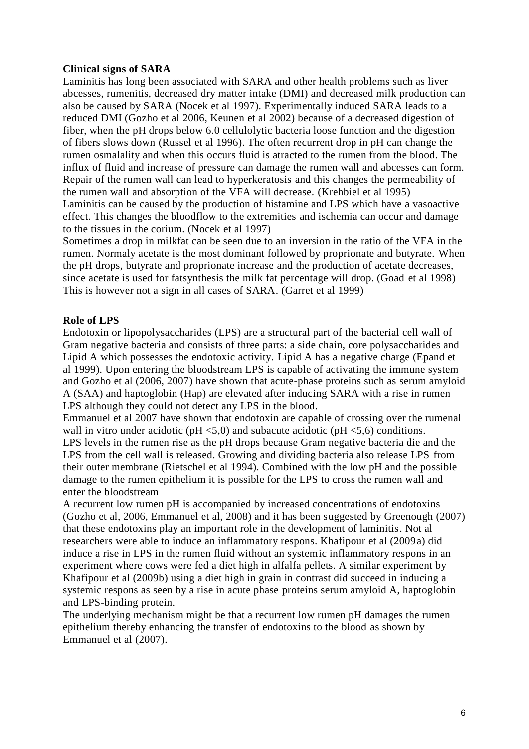#### <span id="page-5-0"></span>**Clinical signs of SARA**

Laminitis has long been associated with SARA and other health problems such as liver abcesses, rumenitis, decreased dry matter intake (DMI) and decreased milk production can also be caused by SARA (Nocek et al 1997). Experimentally induced SARA leads to a reduced DMI (Gozho et al 2006, Keunen et al 2002) because of a decreased digestion of fiber, when the pH drops below 6.0 cellulolytic bacteria loose function and the digestion of fibers slows down (Russel et al 1996). The often recurrent drop in pH can change the rumen osmalality and when this occurs fluid is atracted to the rumen from the blood. The influx of fluid and increase of pressure can damage the rumen wall and abcesses can form. Repair of the rumen wall can lead to hyperkeratosis and this changes the permeability of the rumen wall and absorption of the VFA will decrease. (Krehbiel et al 1995) Laminitis can be caused by the production of histamine and LPS which have a vasoactive effect. This changes the bloodflow to the extremities and ischemia can occur and damage to the tissues in the corium. (Nocek et al 1997)

Sometimes a drop in milkfat can be seen due to an inversion in the ratio of the VFA in the rumen. Normaly acetate is the most dominant followed by proprionate and butyrate. When the pH drops, butyrate and proprionate increase and the production of acetate decreases, since acetate is used for fatsynthesis the milk fat percentage will drop. (Goad et al 1998) This is however not a sign in all cases of SARA. (Garret et al 1999)

#### <span id="page-5-1"></span>**Role of LPS**

Endotoxin or lipopolysaccharides (LPS) are a structural part of the bacterial cell wall of Gram negative bacteria and consists of three parts: a side chain, core polysaccharides and Lipid A which possesses the endotoxic activity. Lipid A has a negative charge (Epand et al 1999). Upon entering the bloodstream LPS is capable of activating the immune system and Gozho et al (2006, 2007) have shown that acute-phase proteins such as serum amyloid A (SAA) and haptoglobin (Hap) are elevated after inducing SARA with a rise in rumen LPS although they could not detect any LPS in the blood.

Emmanuel et al 2007 have shown that endotoxin are capable of crossing over the rumenal wall in vitro under acidotic ( $pH < 5,0$ ) and subacute acidotic ( $pH < 5,6$ ) conditions.

LPS levels in the rumen rise as the pH drops because Gram negative bacteria die and the LPS from the cell wall is released. Growing and dividing bacteria also release LPS from their outer membrane (Rietschel et al 1994). Combined with the low pH and the possible damage to the rumen epithelium it is possible for the LPS to cross the rumen wall and enter the bloodstream

A recurrent low rumen pH is accompanied by increased concentrations of endotoxins (Gozho et al, 2006, Emmanuel et al, 2008) and it has been suggested by Greenough (2007) that these endotoxins play an important role in the development of laminitis. Not al researchers were able to induce an inflammatory respons. Khafipour et al (2009a) did induce a rise in LPS in the rumen fluid without an systemic inflammatory respons in an experiment where cows were fed a diet high in alfalfa pellets. A similar experiment by Khafipour et al (2009b) using a diet high in grain in contrast did succeed in inducing a systemic respons as seen by a rise in acute phase proteins serum amyloid A, haptoglobin and LPS-binding protein.

The underlying mechanism might be that a recurrent low rumen pH damages the rumen epithelium thereby enhancing the transfer of endotoxins to the blood as shown by Emmanuel et al (2007).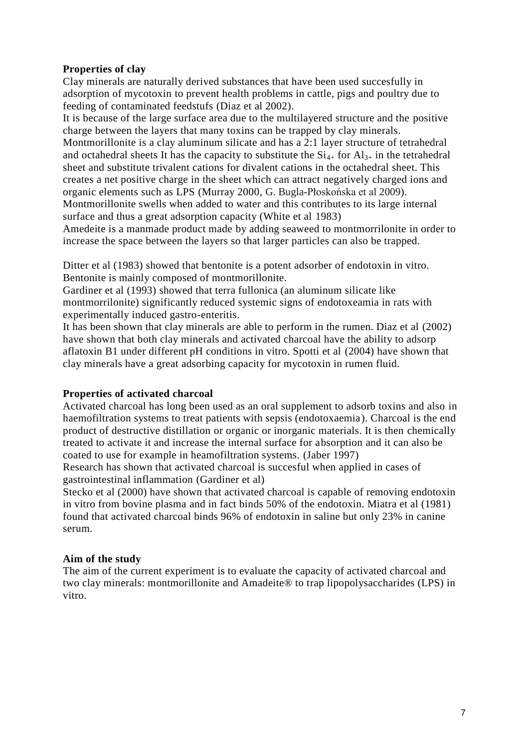#### <span id="page-6-0"></span>**Properties of clay**

Clay minerals are naturally derived substances that have been used succesfully in adsorption of mycotoxin to prevent health problems in cattle, pigs and poultry due to feeding of contaminated feedstufs (Diaz et al 2002).

It is because of the large surface area due to the multilayered structure and the positive charge between the layers that many toxins can be trapped by clay minerals.

Montmorillonite is a clay aluminum silicate and has a 2:1 layer structure of tetrahedral and octahedral sheets It has the capacity to substitute the  $Si_{4+}$  for  $Al_{3+}$  in the tetrahedral sheet and substitute trivalent cations for divalent cations in the octahedral sheet. This creates a net positive charge in the sheet which can attract negatively charged ions and organic elements such as LPS (Murray 2000, G. Bugla-Płoskońska et al 2009). Montmorillonite swells when added to water and this contributes to its large internal

surface and thus a great adsorption capacity (White et al 1983)

Amedeite is a manmade product made by adding seaweed to montmorrilonite in order to increase the space between the layers so that larger particles can also be trapped.

Ditter et al (1983) showed that bentonite is a potent adsorber of endotoxin in vitro. Bentonite is mainly composed of montmorillonite.

Gardiner et al (1993) showed that terra fullonica (an aluminum silicate like montmorrilonite) significantly reduced systemic signs of endotoxeamia in rats with experimentally induced gastro-enteritis.

It has been shown that clay minerals are able to perform in the rumen. Diaz et al (2002) have shown that both clay minerals and activated charcoal have the ability to adsorp aflatoxin B1 under different pH conditions in vitro. Spotti et al (2004) have shown that clay minerals have a great adsorbing capacity for mycotoxin in rumen fluid.

#### <span id="page-6-1"></span>**Properties of activated charcoal**

Activated charcoal has long been used as an oral supplement to adsorb toxins and also in haemofiltration systems to treat patients with sepsis (endotoxaemia). Charcoal is the end product of destructive distillation or organic or inorganic materials. It is then chemically treated to activate it and increase the internal surface for absorption and it can also be coated to use for example in heamofiltration systems. (Jaber 1997)

Research has shown that activated charcoal is succesful when applied in cases of gastrointestinal inflammation (Gardiner et al)

Stecko et al (2000) have shown that activated charcoal is capable of removing endotoxin in vitro from bovine plasma and in fact binds 50% of the endotoxin. Miatra et al (1981) found that activated charcoal binds 96% of endotoxin in saline but only 23% in canine serum.

#### <span id="page-6-2"></span>**Aim of the study**

The aim of the current experiment is to evaluate the capacity of activated charcoal and two clay minerals: montmorillonite and Amadeite® to trap lipopolysaccharides (LPS) in vitro.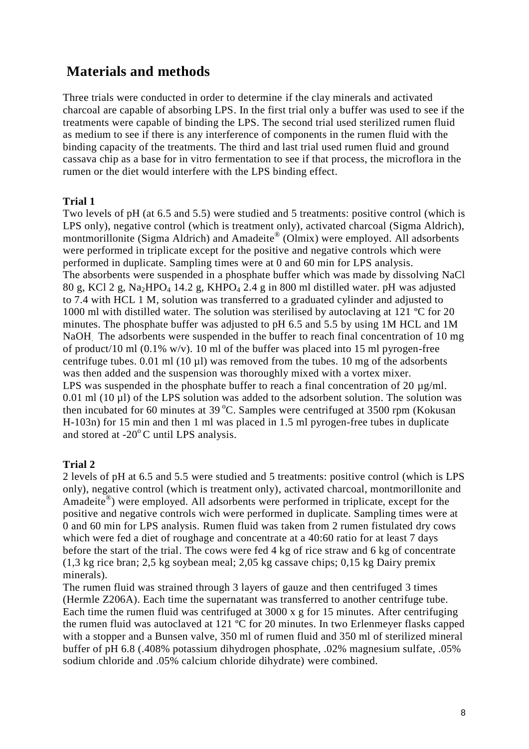### <span id="page-7-0"></span>**Materials and methods**

Three trials were conducted in order to determine if the clay minerals and activated charcoal are capable of absorbing LPS. In the first trial only a buffer was used to see if the treatments were capable of binding the LPS. The second trial used sterilized rumen fluid as medium to see if there is any interference of components in the rumen fluid with the binding capacity of the treatments. The third and last trial used rumen fluid and ground cassava chip as a base for in vitro fermentation to see if that process, the microflora in the rumen or the diet would interfere with the LPS binding effect.

#### <span id="page-7-1"></span>**Trial 1**

Two levels of pH (at 6.5 and 5.5) were studied and 5 treatments: positive control (which is LPS only), negative control (which is treatment only), activated charcoal (Sigma Aldrich), montmorillonite (Sigma Aldrich) and Amadeite® (Olmix) were employed. All adsorbents were performed in triplicate except for the positive and negative controls which were performed in duplicate. Sampling times were at 0 and 60 min for LPS analysis. The absorbents were suspended in a phosphate buffer which was made by dissolving NaCl 80 g, KCl 2 g, Na<sub>2</sub>HPO<sub>4</sub> 14.2 g, KHPO<sub>4</sub> 2.4 g in 800 ml distilled water. pH was adjusted to 7.4 with HCL 1 M, solution was transferred to a graduated cylinder and adjusted to 1000 ml with distilled water. The solution was sterilised by autoclaving at 121 ºC for 20 minutes. The phosphate buffer was adjusted to pH 6.5 and 5.5 by using 1M HCL and 1M NaOH. The adsorbents were suspended in the buffer to reach final concentration of 10 mg of product/10 ml (0.1% w/v). 10 ml of the buffer was placed into 15 ml pyrogen-free centrifuge tubes. 0.01 ml (10 µl) was removed from the tubes. 10 mg of the adsorbents was then added and the suspension was thoroughly mixed with a vortex mixer. LPS was suspended in the phosphate buffer to reach a final concentration of 20  $\mu$ g/ml.  $0.01$  ml  $(10 \mu l)$  of the LPS solution was added to the adsorbent solution. The solution was then incubated for 60 minutes at  $39^{\circ}$ C. Samples were centrifuged at  $3500$  rpm (Kokusan H-103n) for 15 min and then 1 ml was placed in 1.5 ml pyrogen-free tubes in duplicate and stored at  $-20^{\circ}$ C until LPS analysis.

#### <span id="page-7-2"></span>**Trial 2**

2 levels of pH at 6.5 and 5.5 were studied and 5 treatments: positive control (which is LPS only), negative control (which is treatment only), activated charcoal, montmorillonite and Amadeite<sup>®</sup>) were employed. All adsorbents were performed in triplicate, except for the positive and negative controls wich were performed in duplicate. Sampling times were at 0 and 60 min for LPS analysis. Rumen fluid was taken from 2 rumen fistulated dry cows which were fed a diet of roughage and concentrate at a 40:60 ratio for at least 7 days before the start of the trial. The cows were fed 4 kg of rice straw and 6 kg of concentrate (1,3 kg rice bran; 2,5 kg soybean meal; 2,05 kg cassave chips; 0,15 kg Dairy premix minerals).

The rumen fluid was strained through 3 layers of gauze and then centrifuged 3 times (Hermle Z206A). Each time the supernatant was transferred to another centrifuge tube. Each time the rumen fluid was centrifuged at 3000 x g for 15 minutes. After centrifuging the rumen fluid was autoclaved at 121 ºC for 20 minutes. In two Erlenmeyer flasks capped with a stopper and a Bunsen valve, 350 ml of rumen fluid and 350 ml of sterilized mineral buffer of pH 6.8 (.408% potassium dihydrogen phosphate, .02% magnesium sulfate, .05% sodium chloride and .05% calcium chloride dihydrate) were combined.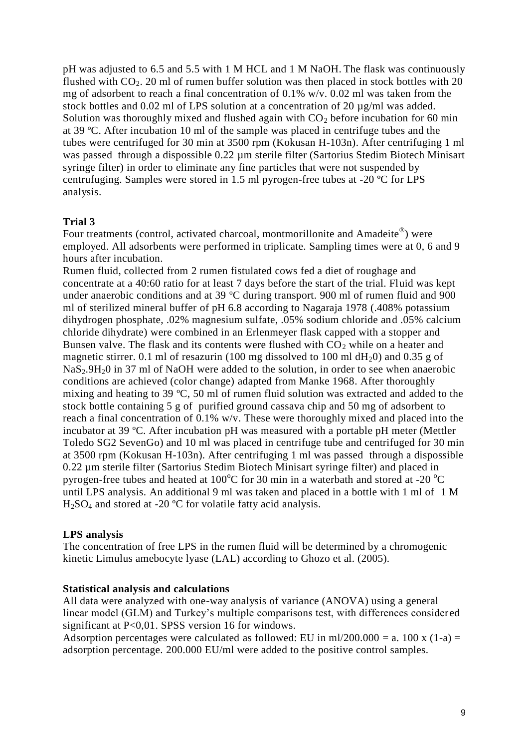pH was adjusted to 6.5 and 5.5 with 1 M HCL and 1 M NaOH. The flask was continuously flushed with  $CO<sub>2</sub>$ . 20 ml of rumen buffer solution was then placed in stock bottles with 20 mg of adsorbent to reach a final concentration of 0.1% w/v. 0.02 ml was taken from the stock bottles and 0.02 ml of LPS solution at a concentration of 20 µg/ml was added. Solution was thoroughly mixed and flushed again with  $CO<sub>2</sub>$  before incubation for 60 min at 39 ºC. After incubation 10 ml of the sample was placed in centrifuge tubes and the tubes were centrifuged for 30 min at 3500 rpm (Kokusan H-103n). After centrifuging 1 ml was passed through a dispossible 0.22 µm sterile filter (Sartorius Stedim Biotech Minisart syringe filter) in order to eliminate any fine particles that were not suspended by centrufuging. Samples were stored in 1.5 ml pyrogen-free tubes at -20 ºC for LPS analysis.

#### <span id="page-8-0"></span>**Trial 3**

Four treatments (control, activated charcoal, montmorillonite and Amadeite®) were employed. All adsorbents were performed in triplicate. Sampling times were at 0, 6 and 9 hours after incubation.

Rumen fluid, collected from 2 rumen fistulated cows fed a diet of roughage and concentrate at a 40:60 ratio for at least 7 days before the start of the trial. Fluid was kept under anaerobic conditions and at 39 °C during transport. 900 ml of rumen fluid and 900 ml of sterilized mineral buffer of pH 6.8 according to Nagaraja 1978 (.408% potassium dihydrogen phosphate, .02% magnesium sulfate, .05% sodium chloride and .05% calcium chloride dihydrate) were combined in an Erlenmeyer flask capped with a stopper and Bunsen valve. The flask and its contents were flushed with  $CO<sub>2</sub>$  while on a heater and magnetic stirrer. 0.1 ml of resazurin (100 mg dissolved to 100 ml  $dH<sub>2</sub>0$ ) and 0.35 g of  $NaS<sub>2</sub>9H<sub>2</sub>0$  in 37 ml of NaOH were added to the solution, in order to see when anaerobic conditions are achieved (color change) adapted from Manke 1968. After thoroughly mixing and heating to 39 ºC, 50 ml of rumen fluid solution was extracted and added to the stock bottle containing 5 g of purified ground cassava chip and 50 mg of adsorbent to reach a final concentration of 0.1% w/v. These were thoroughly mixed and placed into the incubator at 39 ºC. After incubation pH was measured with a portable pH meter (Mettler Toledo SG2 SevenGo) and 10 ml was placed in centrifuge tube and centrifuged for 30 min at 3500 rpm (Kokusan H-103n). After centrifuging 1 ml was passed through a dispossible 0.22 µm sterile filter (Sartorius Stedim Biotech Minisart syringe filter) and placed in pyrogen-free tubes and heated at  $100^{\circ}$ C for 30 min in a waterbath and stored at -20  $^{\circ}$ C until LPS analysis. An additional 9 ml was taken and placed in a bottle with 1 ml of 1 M  $H<sub>2</sub>SO<sub>4</sub>$  and stored at -20 °C for volatile fatty acid analysis.

#### <span id="page-8-1"></span>**LPS analysis**

The concentration of free LPS in the rumen fluid will be determined by a chromogenic kinetic Limulus amebocyte lyase (LAL) according to Ghozo et al. (2005).

#### <span id="page-8-2"></span>**Statistical analysis and calculations**

All data were analyzed with one-way analysis of variance (ANOVA) using a general linear model (GLM) and Turkey's multiple comparisons test, with differences considered significant at P<0,01. SPSS version 16 for windows.

Adsorption percentages were calculated as followed: EU in ml/200.000 = a. 100 x (1-a) = adsorption percentage. 200.000 EU/ml were added to the positive control samples.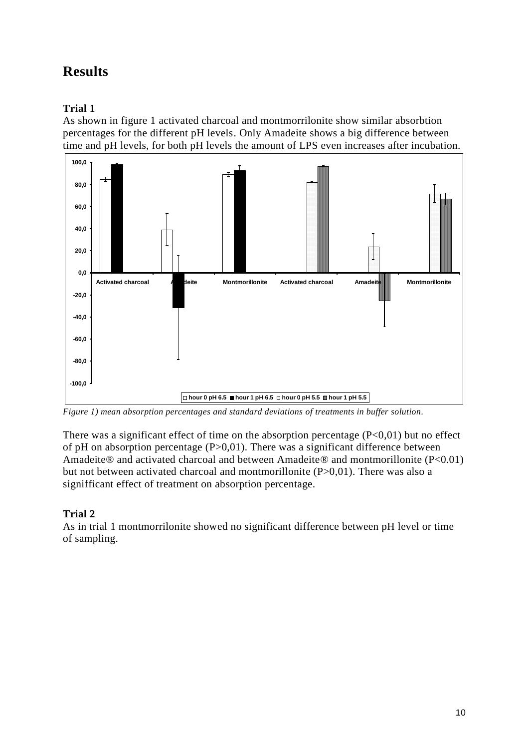## <span id="page-9-0"></span>**Results**

### <span id="page-9-1"></span>**Trial 1**

As shown in figure 1 activated charcoal and montmorrilonite show similar absorbtion percentages for the different pH levels. Only Amadeite shows a big difference between time and pH levels, for both pH levels the amount of LPS even increases after incubation.



*Figure 1) mean absorption percentages and standard deviations of treatments in buffer solution.*

There was a significant effect of time on the absorption percentage  $(P<0,01)$  but no effect of pH on absorption percentage  $(P>0,01)$ . There was a significant difference between Amadeite® and activated charcoal and between Amadeite® and montmorillonite (P<0.01) but not between activated charcoal and montmorillonite (P>0,01). There was also a signifficant effect of treatment on absorption percentage.

### <span id="page-9-2"></span>**Trial 2**

As in trial 1 montmorrilonite showed no significant difference between pH level or time of sampling.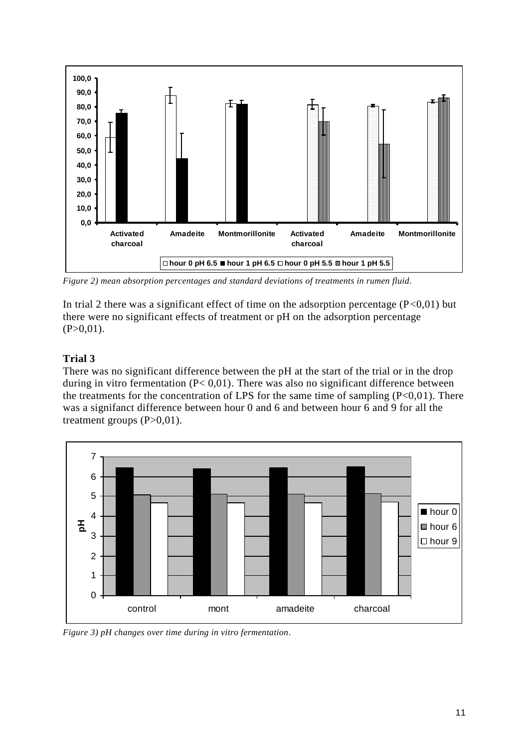

*Figure 2) mean absorption percentages and standard deviations of treatments in rumen fluid.*

In trial 2 there was a significant effect of time on the adsorption percentage  $(P<0,01)$  but there were no significant effects of treatment or pH on the adsorption percentage  $(P>0.01)$ .

#### <span id="page-10-0"></span>**Trial 3**

There was no significant difference between the pH at the start of the trial or in the drop during in vitro fermentation  $(P< 0.01)$ . There was also no significant difference between the treatments for the concentration of LPS for the same time of sampling  $(P<0,01)$ . There was a signifanct difference between hour 0 and 6 and between hour 6 and 9 for all the treatment groups  $(P>0,01)$ .



*Figure 3) pH changes over time during in vitro fermentation.*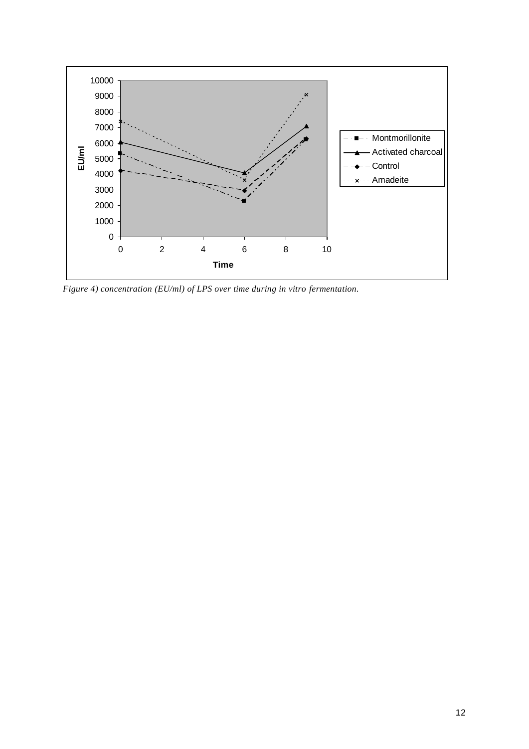

*Figure 4) concentration (EU/ml) of LPS over time during in vitro fermentation.*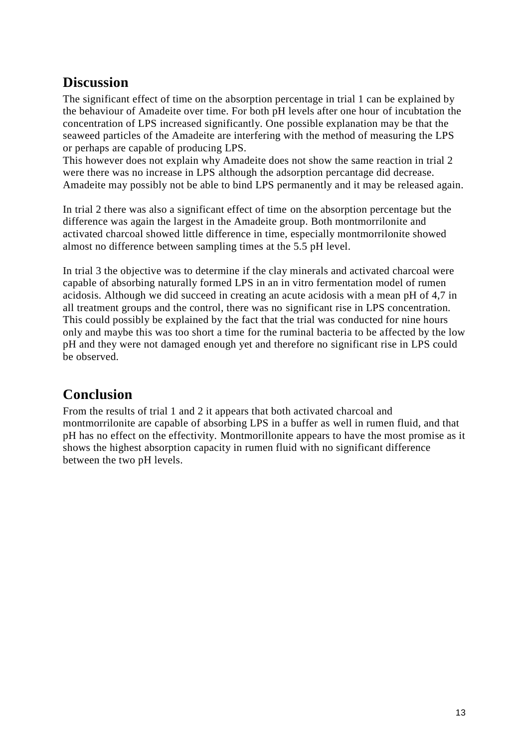## <span id="page-12-0"></span>**Discussion**

The significant effect of time on the absorption percentage in trial 1 can be explained by the behaviour of Amadeite over time. For both pH levels after one hour of incubtation the concentration of LPS increased significantly. One possible explanation may be that the seaweed particles of the Amadeite are interfering with the method of measuring the LPS or perhaps are capable of producing LPS.

This however does not explain why Amadeite does not show the same reaction in trial 2 were there was no increase in LPS although the adsorption percantage did decrease. Amadeite may possibly not be able to bind LPS permanently and it may be released again.

In trial 2 there was also a significant effect of time on the absorption percentage but the difference was again the largest in the Amadeite group. Both montmorrilonite and activated charcoal showed little difference in time, especially montmorrilonite showed almost no difference between sampling times at the 5.5 pH level.

In trial 3 the objective was to determine if the clay minerals and activated charcoal were capable of absorbing naturally formed LPS in an in vitro fermentation model of rumen acidosis. Although we did succeed in creating an acute acidosis with a mean pH of 4,7 in all treatment groups and the control, there was no significant rise in LPS concentration. This could possibly be explained by the fact that the trial was conducted for nine hours only and maybe this was too short a time for the ruminal bacteria to be affected by the low pH and they were not damaged enough yet and therefore no significant rise in LPS could be observed.

## <span id="page-12-1"></span>**Conclusion**

<span id="page-12-2"></span>From the results of trial 1 and 2 it appears that both activated charcoal and montmorrilonite are capable of absorbing LPS in a buffer as well in rumen fluid, and that pH has no effect on the effectivity. Montmorillonite appears to have the most promise as it shows the highest absorption capacity in rumen fluid with no significant difference between the two pH levels.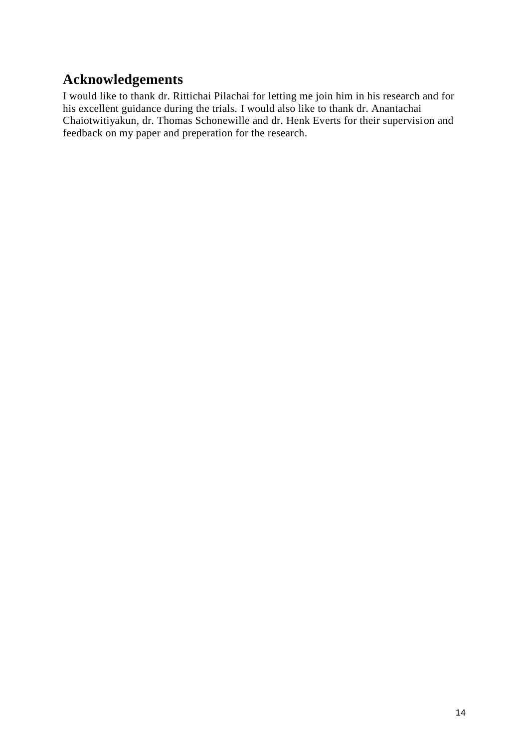## **Acknowledgements**

I would like to thank dr. Rittichai Pilachai for letting me join him in his research and for his excellent guidance during the trials. I would also like to thank dr. Anantachai Chaiotwitiyakun, dr. Thomas Schonewille and dr. Henk Everts for their supervision and feedback on my paper and preperation for the research.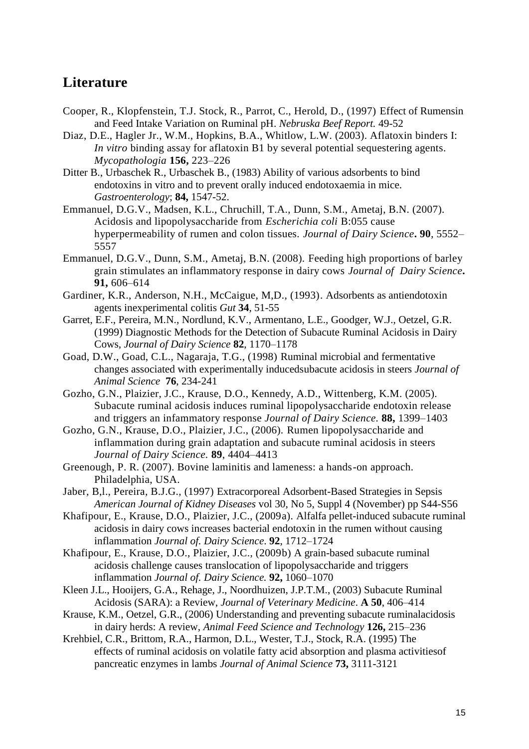### <span id="page-14-0"></span>**Literature**

- Cooper, R., Klopfenstein, T.J. Stock, R., Parrot, C., Herold, D., (1997) Effect of Rumensin and Feed Intake Variation on Ruminal pH. *Nebruska Beef Report.* 49-52
- Diaz, D.E., Hagler Jr., W.M., Hopkins, B.A., Whitlow, L.W. (2003). Aflatoxin binders I: *In vitro* binding assay for aflatoxin B1 by several potential sequestering agents. *Mycopathologia* **156,** 223–226
- Ditter B., Urbaschek R., Urbaschek B., (1983) Ability of various adsorbents to bind endotoxins in vitro and to prevent orally induced endotoxaemia in mice. *Gastroenterology*; **84,** 1547-52.
- Emmanuel, D.G.V., Madsen, K.L., Chruchill, T.A., Dunn, S.M., Ametaj, B.N. (2007). Acidosis and lipopolysaccharide from *Escherichia coli* B:055 cause hyperpermeability of rumen and colon tissues. *Journal of Dairy Science***. 90**, 5552– 5557
- Emmanuel, D.G.V., Dunn, S.M., Ametaj, B.N. (2008). Feeding high proportions of barley grain stimulates an inflammatory response in dairy cows *Journal of Dairy Science***. 91,** 606–614
- Gardiner, K.R., Anderson, N.H., McCaigue, M,D., (1993). Adsorbents as antiendotoxin agents inexperimental colitis *Gut* **34**, 51-55
- Garret, E.F., Pereira, M.N., Nordlund, K.V., Armentano, L.E., Goodger, W.J., Oetzel, G.R. (1999) Diagnostic Methods for the Detection of Subacute Ruminal Acidosis in Dairy Cows, *Journal of Dairy Science* **82**, 1170–1178
- Goad, D.W., Goad, C.L., Nagaraja, T.G., (1998) Ruminal microbial and fermentative changes associated with experimentally inducedsubacute acidosis in steers *Journal of Animal Science* **76**, 234-241
- Gozho, G.N., Plaizier, J.C., Krause, D.O., Kennedy, A.D., Wittenberg, K.M. (2005). Subacute ruminal acidosis induces ruminal lipopolysaccharide endotoxin release and triggers an infammatory response *Journal of Dairy Science.* **88,** 1399–1403
- Gozho, G.N., Krause, D.O., Plaizier, J.C., (2006). Rumen lipopolysaccharide and inflammation during grain adaptation and subacute ruminal acidosis in steers *Journal of Dairy Science.* **89**, 4404–4413
- Greenough, P. R. (2007). Bovine laminitis and lameness: a hands-on approach. Philadelphia, USA.
- Jaber, B,l., Pereira, B.J.G., (1997) Extracorporeal Adsorbent-Based Strategies in Sepsis *American Journal of Kidney Diseases* vol 30, No 5, Suppl 4 (November) pp S44-S56
- Khafipour, E., Krause, D.O., Plaizier, J.C., (2009a). Alfalfa pellet-induced subacute ruminal acidosis in dairy cows increases bacterial endotoxin in the rumen without causing inflammation *Journal of. Dairy Science*. **92**, 1712–1724
- Khafipour, E., Krause, D.O., Plaizier, J.C., (2009b) A grain-based subacute ruminal acidosis challenge causes translocation of lipopolysaccharide and triggers inflammation *Journal of. Dairy Science.* **92,** 1060–1070
- Kleen J.L., Hooijers, G.A., Rehage, J., Noordhuizen, J.P.T.M., (2003) Subacute Ruminal Acidosis (SARA): a Review, *Journal of Veterinary Medicine*. **A 50**, 406–414
- Krause, K.M., Oetzel, G.R., (2006) Understanding and preventing subacute ruminalacidosis in dairy herds: A review, *Animal Feed Science and Technology* **126,** 215–236
- Krehbiel, C.R., Brittom, R.A., Harmon, D.L., Wester, T.J., Stock, R.A. (1995) The effects of ruminal acidosis on volatile fatty acid absorption and plasma activitiesof pancreatic enzymes in lambs *Journal of Animal Science* **73,** 3111-3121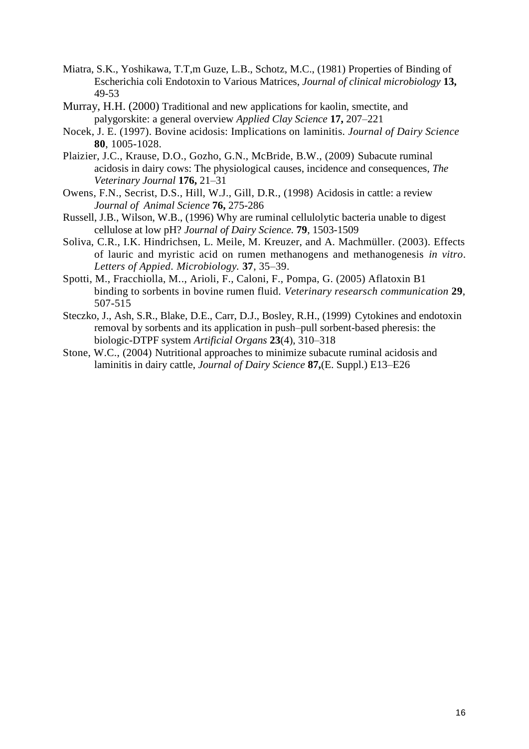- Miatra, S.K., Yoshikawa, T.T,m Guze, L.B., Schotz, M.C., (1981) Properties of Binding of Escherichia coli Endotoxin to Various Matrices, *Journal of clinical microbiology* **13,** 49-53
- Murray, H.H. (2000) Traditional and new applications for kaolin, smectite, and palygorskite: a general overview *Applied Clay Science* **17,** 207–221
- Nocek, J. E. (1997). Bovine acidosis: Implications on laminitis. *Journal of Dairy Science* **80**, 1005-1028.
- Plaizier, J.C., Krause, D.O., Gozho, G.N., McBride, B.W., (2009) Subacute ruminal acidosis in dairy cows: The physiological causes, incidence and consequences, *The Veterinary Journal* **176,** 21–31
- Owens, F.N., Secrist, D.S., Hill, W.J., Gill, D.R., (1998) Acidosis in cattle: a review *Journal of Animal Science* **76,** 275-286
- Russell, J.B., Wilson, W.B., (1996) Why are ruminal cellulolytic bacteria unable to digest cellulose at low pH? *Journal of Dairy Science.* **79**, 1503-1509
- Soliva, C.R., I.K. Hindrichsen, L. Meile, M. Kreuzer, and A. Machmüller. (2003). Effects of lauric and myristic acid on rumen methanogens and methanogenesis *in vitro*. *Letters of Appied. Microbiology.* **37**, 35–39.
- Spotti, M., Fracchiolla, M.., Arioli, F., Caloni, F., Pompa, G. (2005) Aflatoxin B1 binding to sorbents in bovine rumen fluid. *Veterinary researsch communication* **29**, 507-515
- Steczko, J., Ash, S.R., Blake, D.E., Carr, D.J., Bosley, R.H., (1999) Cytokines and endotoxin removal by sorbents and its application in push–pull sorbent-based pheresis: the biologic-DTPF system *Artificial Organs* **23**(4), 310–318
- Stone, W.C., (2004) Nutritional approaches to minimize subacute ruminal acidosis and laminitis in dairy cattle, *Journal of Dairy Science* **87,**(E. Suppl.) E13–E26